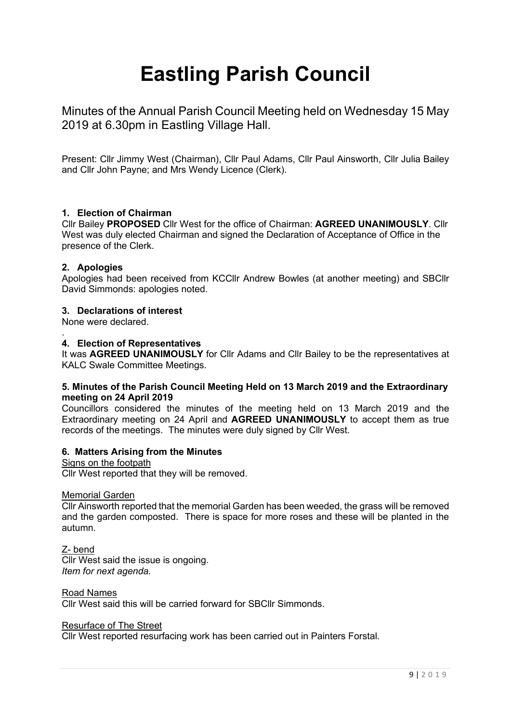# **Eastling Parish Council**

Minutes of the Annual Parish Council Meeting held on Wednesday 15 May 2019 at 6.30pm in Eastling Village Hall.

Present: Cllr Jimmy West (Chairman), Cllr Paul Adams, Cllr Paul Ainsworth, Cllr Julia Bailey and Cllr John Payne; and Mrs Wendy Licence (Clerk).

# **1. Election of Chairman**

Cllr Bailey **PROPOSED** Cllr West for the office of Chairman: **AGREED UNANIMOUSLY**. Cllr West was duly elected Chairman and signed the Declaration of Acceptance of Office in the presence of the Clerk.

## **2. Apologies**

Apologies had been received from KCCllr Andrew Bowles (at another meeting) and SBCllr David Simmonds: apologies noted.

## **3. Declarations of interest**

None were declared.

#### . **4. Election of Representatives**

It was **AGREED UNANIMOUSLY** for Cllr Adams and Cllr Bailey to be the representatives at KALC Swale Committee Meetings.

## **5. Minutes of the Parish Council Meeting Held on 13 March 2019 and the Extraordinary meeting on 24 April 2019**

Councillors considered the minutes of the meeting held on 13 March 2019 and the Extraordinary meeting on 24 April and **AGREED UNANIMOUSLY** to accept them as true records of the meetings. The minutes were duly signed by Cllr West.

## **6. Matters Arising from the Minutes**

Signs on the footpath Cllr West reported that they will be removed.

## Memorial Garden

Cllr Ainsworth reported that the memorial Garden has been weeded, the grass will be removed and the garden composted. There is space for more roses and these will be planted in the autumn.

Z- bend Cllr West said the issue is ongoing. *Item for next agenda.*

Road Names Cllr West said this will be carried forward for SBCllr Simmonds.

## Resurface of The Street

Cllr West reported resurfacing work has been carried out in Painters Forstal.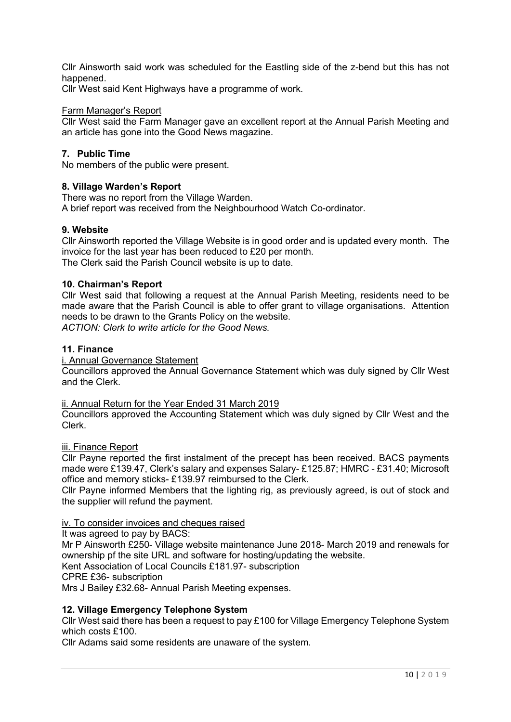Cllr Ainsworth said work was scheduled for the Eastling side of the z-bend but this has not happened.

Cllr West said Kent Highways have a programme of work.

## Farm Manager's Report

Cllr West said the Farm Manager gave an excellent report at the Annual Parish Meeting and an article has gone into the Good News magazine.

## **7. Public Time**

No members of the public were present.

## **8. Village Warden's Report**

There was no report from the Village Warden.

A brief report was received from the Neighbourhood Watch Co-ordinator.

## **9. Website**

Cllr Ainsworth reported the Village Website is in good order and is updated every month. The invoice for the last year has been reduced to £20 per month. The Clerk said the Parish Council website is up to date.

## **10. Chairman's Report**

Cllr West said that following a request at the Annual Parish Meeting, residents need to be made aware that the Parish Council is able to offer grant to village organisations. Attention needs to be drawn to the Grants Policy on the website. *ACTION: Clerk to write article for the Good News.*

## **11. Finance**

i. Annual Governance Statement

Councillors approved the Annual Governance Statement which was duly signed by Cllr West and the Clerk.

## ii. Annual Return for the Year Ended 31 March 2019

Councillors approved the Accounting Statement which was duly signed by Cllr West and the Clerk.

## iii. Finance Report

Cllr Payne reported the first instalment of the precept has been received. BACS payments made were £139.47, Clerk's salary and expenses Salary- £125.87; HMRC - £31.40; Microsoft office and memory sticks- £139.97 reimbursed to the Clerk.

Cllr Payne informed Members that the lighting rig, as previously agreed, is out of stock and the supplier will refund the payment.

## iv. To consider invoices and cheques raised

It was agreed to pay by BACS:

Mr P Ainsworth £250- Village website maintenance June 2018- March 2019 and renewals for ownership pf the site URL and software for hosting/updating the website.

Kent Association of Local Councils £181.97- subscription

CPRE £36- subscription

Mrs J Bailey £32.68- Annual Parish Meeting expenses.

## **12. Village Emergency Telephone System**

Cllr West said there has been a request to pay £100 for Village Emergency Telephone System which costs £100.

Cllr Adams said some residents are unaware of the system.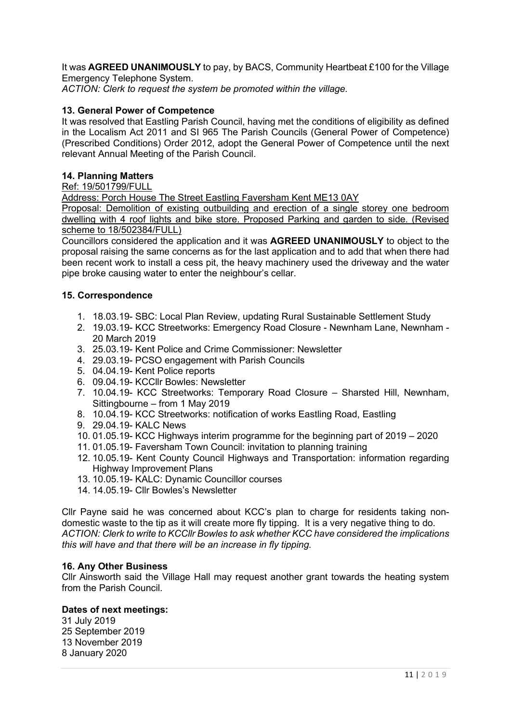It was **AGREED UNANIMOUSLY** to pay, by BACS, Community Heartbeat £100 for the Village Emergency Telephone System.

*ACTION: Clerk to request the system be promoted within the village.*

# **13. General Power of Competence**

It was resolved that Eastling Parish Council, having met the conditions of eligibility as defined in the Localism Act 2011 and SI 965 The Parish Councils (General Power of Competence) (Prescribed Conditions) Order 2012, adopt the General Power of Competence until the next relevant Annual Meeting of the Parish Council.

# **14. Planning Matters**

# Ref: 19/501799/FULL

Address: Porch House The Street Eastling Faversham Kent ME13 0AY

Proposal: Demolition of existing outbuilding and erection of a single storey one bedroom dwelling with 4 roof lights and bike store. Proposed Parking and garden to side. (Revised scheme to 18/502384/FULL)

Councillors considered the application and it was **AGREED UNANIMOUSLY** to object to the proposal raising the same concerns as for the last application and to add that when there had been recent work to install a cess pit, the heavy machinery used the driveway and the water pipe broke causing water to enter the neighbour's cellar.

## **15. Correspondence**

- 1. 18.03.19- SBC: Local Plan Review, updating Rural Sustainable Settlement Study
- 2. 19.03.19- KCC Streetworks: Emergency Road Closure Newnham Lane, Newnham 20 March 2019
- 3. 25.03.19- Kent Police and Crime Commissioner: Newsletter
- 4. 29.03.19- PCSO engagement with Parish Councils
- 5. 04.04.19- Kent Police reports
- 6. 09.04.19- KCCllr Bowles: Newsletter
- 7. 10.04.19- KCC Streetworks: Temporary Road Closure Sharsted Hill, Newnham, Sittingbourne – from 1 May 2019
- 8. 10.04.19- KCC Streetworks: notification of works Eastling Road, Eastling
- 9. 29.04.19- KALC News
- 10. 01.05.19- KCC Highways interim programme for the beginning part of 2019 2020
- 11. 01.05.19- Faversham Town Council: invitation to planning training
- 12. 10.05.19- Kent County Council Highways and Transportation: information regarding Highway Improvement Plans
- 13. 10.05.19- KALC: Dynamic Councillor courses
- 14. 14.05.19- Cllr Bowles's Newsletter

Cllr Payne said he was concerned about KCC's plan to charge for residents taking nondomestic waste to the tip as it will create more fly tipping. It is a very negative thing to do. *ACTION: Clerk to write to KCCllr Bowles to ask whether KCC have considered the implications this will have and that there will be an increase in fly tipping.*

## **16. Any Other Business**

Cllr Ainsworth said the Village Hall may request another grant towards the heating system from the Parish Council.

## **Dates of next meetings:**

31 July 2019 25 September 2019 13 November 2019 8 January 2020